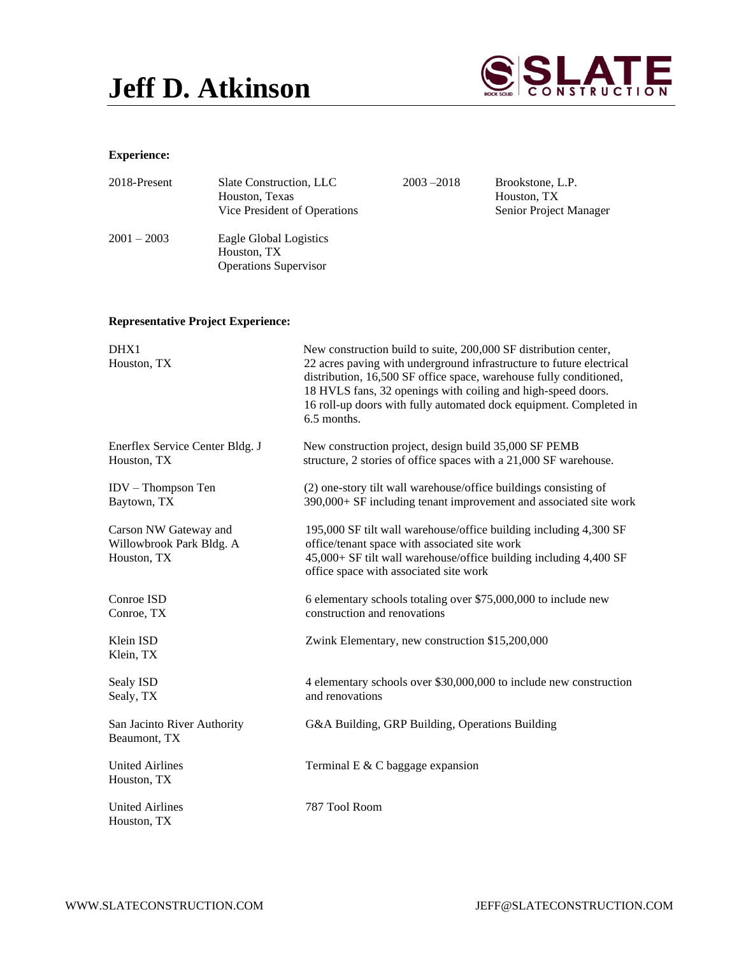## **Jeff D. Atkinson**



## **Experience:**

| 2018-Present  | Slate Construction, LLC<br>Houston, Texas<br>Vice President of Operations | $2003 - 2018$ | Brookstone, L.P.<br>Houston, TX<br>Senior Project Manager |
|---------------|---------------------------------------------------------------------------|---------------|-----------------------------------------------------------|
| $2001 - 2003$ | Eagle Global Logistics<br>Houston, TX<br><b>Operations Supervisor</b>     |               |                                                           |

## **Representative Project Experience:**

| DHX1<br>Houston, TX                                              | New construction build to suite, 200,000 SF distribution center,<br>22 acres paving with underground infrastructure to future electrical<br>distribution, 16,500 SF office space, warehouse fully conditioned,<br>18 HVLS fans, 32 openings with coiling and high-speed doors.<br>16 roll-up doors with fully automated dock equipment. Completed in<br>6.5 months. |  |  |
|------------------------------------------------------------------|---------------------------------------------------------------------------------------------------------------------------------------------------------------------------------------------------------------------------------------------------------------------------------------------------------------------------------------------------------------------|--|--|
| Enerflex Service Center Bldg. J<br>Houston, TX                   | New construction project, design build 35,000 SF PEMB<br>structure, 2 stories of office spaces with a 21,000 SF warehouse.                                                                                                                                                                                                                                          |  |  |
| $IDV - Thompson Ten$<br>Baytown, TX                              | (2) one-story tilt wall warehouse/office buildings consisting of<br>390,000+ SF including tenant improvement and associated site work                                                                                                                                                                                                                               |  |  |
| Carson NW Gateway and<br>Willowbrook Park Bldg. A<br>Houston, TX | 195,000 SF tilt wall warehouse/office building including 4,300 SF<br>office/tenant space with associated site work<br>45,000+ SF tilt wall warehouse/office building including 4,400 SF<br>office space with associated site work                                                                                                                                   |  |  |
| Conroe ISD<br>Conroe, TX                                         | 6 elementary schools totaling over \$75,000,000 to include new<br>construction and renovations                                                                                                                                                                                                                                                                      |  |  |
| Klein ISD<br>Klein, TX                                           | Zwink Elementary, new construction \$15,200,000                                                                                                                                                                                                                                                                                                                     |  |  |
| Sealy ISD<br>Sealy, TX                                           | 4 elementary schools over \$30,000,000 to include new construction<br>and renovations                                                                                                                                                                                                                                                                               |  |  |
| San Jacinto River Authority<br>Beaumont, TX                      | G&A Building, GRP Building, Operations Building                                                                                                                                                                                                                                                                                                                     |  |  |
| <b>United Airlines</b><br>Houston, TX                            | Terminal E $&$ C baggage expansion                                                                                                                                                                                                                                                                                                                                  |  |  |
| <b>United Airlines</b><br>Houston, TX                            | 787 Tool Room                                                                                                                                                                                                                                                                                                                                                       |  |  |